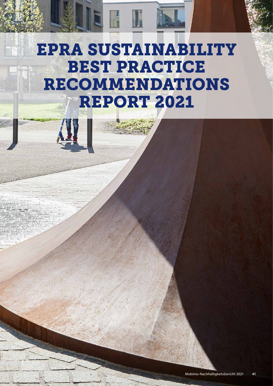# EPRA SUSTAINABILITY BEST PRACTICE RECOMMENDATIONS REPORT 2021

H F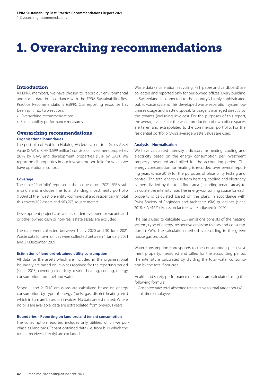# 1. Overarching recommendations

# Introduction

As EPRA members, we have chosen to report our environmental and social data in accordance with the EPRA Sustainability Best Practice Recommendations (sBPR). Our reporting response has been split into two sections:

- › Overarching recommendations
- › Sustainability performance measures

# Overarching recommendations

# **Organisational boundaries**

The portfolio of Mobimo Holding AG (equivalent to a Gross Asset Value (GAV) of CHF 3,599 million) consists of investment properties (87% by GAV) and development properties (13% by GAV). We report on all properties in our investment portfolio for which we have operational control.

# **Coverage**

The table "Portfolio" represents the scope of our 2021 EPRA submission and includes the total standing investments portfolio (100%) of the investible entity (commercial and residential). In total this covers 107 assets and 663,275 square meters.

Development projects, as well as underdeveloped or vacant land or other owned cash or non-real estate assets are excluded.

The data were collected between 1 July 2020 and 30 June 2021. Waste data for own offices were collected between 1 January 2021 and 31 December 2021.

# **Estimation of landlord-obtained utility consumption**

All data for the assets which are included in the organisational boundary are based on invoices received for the reporting period (since 2013) covering electricity, district heating, cooling, energy consumption from fuel and water.

Scope 1 and 2 GHG emissions are calculated based on energy consumption by type of energy (fuels, gas, district heating, etc.) which in turn are based on invoices. No data are estimated. Where no bills are available, data are extrapolated from previous years.

# **Boundaries – Reporting on landlord and tenant consumption**

The consumption reported includes only utilities which we purchase as landlords. Tenant obtained data (i.e. from bills which the tenant receives directly) are excluded.

Waste data (incineration, recycling, PET, paper and cardboard) are collected and reported only for our owned offices. Every building in Switzerland is connected to the country's highly sophisticated public waste system. This developed waste separation system optimises usage and waste disposal. Its usage is managed directly by the tenants (including invoices). For the purposes of this report, the average values for the waste production of own office spaces are taken and extrapolated to the commercial portfolio. For the residential portfolio, Swiss average waste values are used.

# **Analysis – Normalisation**

We have calculated intensity indicators for heating, cooling and electricity based on the energy consumption per investment property measured and billed for the accounting period. The energy consumption for heating is recorded over several reporting years (since 2013) for the purposes of plausibility testing and control. The total energy use from heating, cooling and electricity is then divided by the total floor area (including tenant areas) to calculate the intensity rate. The energy-consuming space for each property is calculated based on the plans in accordance with Swiss Society of Engineers and Architects (SIA) guidelines (since 2018: SIA 416/1). Emission factors were adjusted in 2020.

The basis used to calculate  $CO<sub>2</sub>$  emissions consists of the heating system, type of energy, respective emission factors and consumption in kWh. The calculation method is according to the greenhouse gas protocol.

Water consumption corresponds to the consumption per investment property, measured and billed for the accounting period. The intensity is calculated by dividing the total water consumption by the total floor area.

Health and safety performance measures are calculated using the following formula:

› Absentee rate: total absentee rate relative to total target hours/ full-time employees.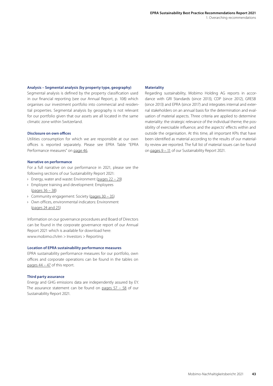# **Analysis – Segmental analysis (by property type, geography)**

Segmental analysis is defined by the property classification used in our financial reporting ([see our Annual Report, p. 108\)](https://s3.eu-west-1.amazonaws.com/public.spectra.io/mobimo/2021/Gescha%CC%88ftsbericht_2021_DE.pdf) which organises our investment portfolio into commercial and residential properties. Segmental analysis by geography is not relevant for our portfolio given that our assets are all located in the same climatic zone within Switzerland.

### **Disclosure on own offices**

Utilities consumption for which we are responsible at our own offices is reported separately. Please see EPRA Table "EPRA Performance measures" on [page 46.](#page-5-0)

#### **Narrative on performance**

For a full narrative on our performance in 2021, please see the following sections of our Sustainability Report 2021:

- › Energy, water and waste: Environment ([pages 22 29\)](#page--1-0)
- › Employee training and development: Employees [\(pages 36 – 38\)](#page--1-0)
- › Community engagement: Society [\(pages 30 35\)](#page--1-0)
- › Own offices, environmental indicators: Environment [\(pages 24 and 25\)](#page--1-0)

Information on our governance procedures and Board of Directors can be found in the corporate governance report of our Annual Report 2021 which is available for download here: [www.mobimo.ch/en > Investors > Reporting](https://www.mobimo.ch/de/investoren/berichterstattung)

# **Location of EPRA sustainability performance measures**

EPRA sustainability performance measures for our portfolio, own offices and corporate operations can be found in the tables on pages 44 – 47 of this report.

### **Third party assurance**

Energy and GHG emissions data are independently assured by EY. The assurance statement can be found on pages  $57 - 58$  of our Sustainability Report 2021.

# **Materiality**

Regarding sustainability, Mobimo Holding AG reports in accordance with GRI Standards (since 2013), CDP (since 2012), GRESB (since 2013) and EPRA (since 2017) and integrates internal and external stakeholders on an annual basis for the determination and evaluation of material aspects. Three criteria are applied to determine materiality: the strategic relevance of the individual theme; the possibility of exercisable influence; and the aspects' effects within and outside the organisation. At this time, all important KPIs that have been identified as material according to the results of our materiality review are reported. The full list of material issues can be found on [pages 9 – 11](#page--1-0) of our Sustainability Report 2021.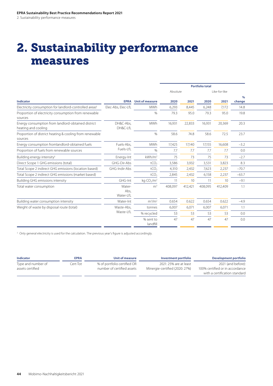# 2. Sustainability performance measures

|                                                                           |                             |                                    |          |         | <b>Portfolio total</b> |                 |            |
|---------------------------------------------------------------------------|-----------------------------|------------------------------------|----------|---------|------------------------|-----------------|------------|
|                                                                           |                             |                                    | Absolute |         |                        | Like-for-like   |            |
|                                                                           |                             |                                    |          |         |                        |                 | $O_{\ell}$ |
| Indicator                                                                 |                             | <b>EPRA</b> Unit of measure        | 2020     | 2021    | 2020                   | 2021            | change     |
| Electricity consumption for landlord-controlled areas <sup>1</sup>        | Elec-Abs, Elec-LfL          | MWh                                | 6,293    | 8,445   | 6,248                  | 7,172           | 14.8       |
| Proportion of electricity consumption from renewable<br>sources           |                             | %                                  | 79.3     | 95.0    | 79.3                   | 95.0            | 19.8       |
| Energy consumption from landlord-obtained district<br>heating and cooling | DH&C-Abs,<br>DH&C-LfL       | MWh                                | 16,931   | 22,833  | 16,931                 | 20,369          | 20.3       |
| Proportion of district heating & cooling from renewable<br>sources        |                             | $\%$                               | 58.6     | 74.8    | 58.6                   | 72.5            | 23.7       |
| Energy consumption fromlandlord-obtained fuels                            | Fuels-Abs,                  | MWh                                | 17,425   | 17,140  | 17,155                 | 16,608          | $-3.2$     |
| Proportion of fuels from renewable sources                                | Fuels-LfL                   | $\%$                               | 7.7      | 7.7     | 7.7                    | 7.7             | 0.0        |
| Building energy intensity <sup>1</sup>                                    | Energy-Int                  | kWh/m <sup>2</sup>                 | 75       | 73      | 75                     | 73              | $-2.7$     |
| Direct Scope 1 GHG emissions (total)                                      | GHG-Dir-Abs                 | tCO <sub>2</sub>                   | 3,586    | 3,932   | 3,531                  | 3,823           | 8.3        |
| Total Scope 2 indirect GHG emissions (location based)                     | GHG-Indir-Abs               | tCO <sub>2</sub>                   | 4,310    | 2,432   | 7,623                  | 2,237           | $-70.7$    |
| Total Scope 2 indirect GHG emissions (market based)                       |                             | tCO <sub>2</sub>                   | 2,845    | 2,432   | 6,158                  | 2,237           | $-63.7$    |
| <b>Building GHG emissions intensity</b>                                   | GHG-Int                     | kg CO <sub>2</sub> /m <sup>2</sup> | 11       | 10      |                        | 10 <sup>°</sup> | $-9.1$     |
| Total water consumption                                                   | Water-<br>Abs,<br>Water-LfL | m <sup>3</sup>                     | 408,097  | 412,421 | 408,095                | 412,409         | 1.1        |
| Building water consumption intensity                                      | Water-Int                   | $m^3/m^2$                          | 0.654    | 0.622   | 0.654                  | 0.622           | $-4.9$     |
| Weight of waste by disposal route (total)                                 | Waste-Abs,                  | tonnes                             | 6,007    | 6,07    | 6,007                  | 6,071           | 1.1        |
|                                                                           | Waste-LfL                   | % recycled                         | 53       | 53      | 53                     | 53              | 0.0        |
|                                                                           |                             | % sent to<br>landfill              | 47       | 47      | 47                     | 47              | 0.0        |

1 Only general electricity is used for the calculation. The previous year's figure is adjusted accordingly.

| Indicator                              | <b>EPRA</b> | Unit of measure                                           | Investment portfolio                                     | Development portfolio                                                                  |
|----------------------------------------|-------------|-----------------------------------------------------------|----------------------------------------------------------|----------------------------------------------------------------------------------------|
| Type and number of<br>assets certified | Cert-Tot    | % of portfolio certified OR<br>number of certified assets | 2021: 25% are at least<br>Minergie-certified (2020: 27%) | 2021 (and before):<br>100% certified or in accordance<br>with a certification standard |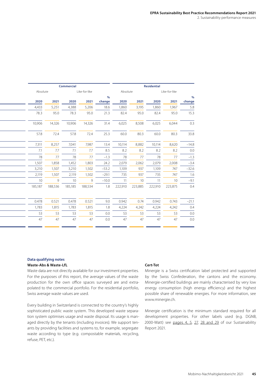| Commercial<br>Residential<br>Like-for-like<br>Like-for-like<br>Absolute<br>%<br>2021<br>2020<br>2021<br>2020<br>2021<br>2020<br>2021<br>change<br>5,251<br>4,388<br>1,860<br>5,206<br>1,860<br>3,195<br>1,967<br>18.6<br>95.0<br>78.3<br>21.3<br>95.0<br>82.4<br>95.0<br>82.4<br>95.0<br>14,326<br>10,906<br>31.4<br>8,508<br>6,025<br>14,326<br>6,025<br>6,044<br>57.8<br>25.3<br>60.0<br>72.4<br>72.4<br>60.0<br>80.3<br>80.3<br>8,257<br>7,041<br>10,114<br>8,882<br>10,114<br>8,620<br>7,987<br>13.4<br>7.7<br>7.1<br>8.2<br>8.2<br>7.7<br>8.5<br>8.2<br>8.2<br>77<br>78<br>$-1.3$<br>78<br>77<br>78<br>77<br>77<br>2,079<br>1,858<br>1,452<br>24.2<br>2,079<br>2,062<br>2,008<br>$-3.4$<br>1,803<br>$-32.6$<br>1,507<br>3,210<br>$-53.2$<br>1,109<br>747<br>1,502<br>1,109<br>937 |          |       |       |       |     |            |    |       |       |         |
|----------------------------------------------------------------------------------------------------------------------------------------------------------------------------------------------------------------------------------------------------------------------------------------------------------------------------------------------------------------------------------------------------------------------------------------------------------------------------------------------------------------------------------------------------------------------------------------------------------------------------------------------------------------------------------------------------------------------------------------------------------------------------------------|----------|-------|-------|-------|-----|------------|----|-------|-------|---------|
|                                                                                                                                                                                                                                                                                                                                                                                                                                                                                                                                                                                                                                                                                                                                                                                        |          |       |       |       |     |            |    |       |       |         |
|                                                                                                                                                                                                                                                                                                                                                                                                                                                                                                                                                                                                                                                                                                                                                                                        | Absolute |       |       |       |     |            |    |       |       |         |
|                                                                                                                                                                                                                                                                                                                                                                                                                                                                                                                                                                                                                                                                                                                                                                                        |          |       |       |       |     |            |    |       |       | %       |
|                                                                                                                                                                                                                                                                                                                                                                                                                                                                                                                                                                                                                                                                                                                                                                                        | 2020     |       |       |       |     |            |    |       |       | change  |
|                                                                                                                                                                                                                                                                                                                                                                                                                                                                                                                                                                                                                                                                                                                                                                                        | 4,433    |       |       |       |     |            |    |       |       | 5.8     |
|                                                                                                                                                                                                                                                                                                                                                                                                                                                                                                                                                                                                                                                                                                                                                                                        | 78.3     |       |       |       |     |            |    |       |       | 15.3    |
|                                                                                                                                                                                                                                                                                                                                                                                                                                                                                                                                                                                                                                                                                                                                                                                        | 10,906   |       |       |       |     |            |    |       |       |         |
|                                                                                                                                                                                                                                                                                                                                                                                                                                                                                                                                                                                                                                                                                                                                                                                        | 57.8     |       |       |       |     |            |    |       |       | 33.8    |
|                                                                                                                                                                                                                                                                                                                                                                                                                                                                                                                                                                                                                                                                                                                                                                                        | 7,311    |       |       |       |     |            |    |       |       | $-14.8$ |
|                                                                                                                                                                                                                                                                                                                                                                                                                                                                                                                                                                                                                                                                                                                                                                                        | 7.1      |       |       |       |     |            |    |       |       | 0.0     |
|                                                                                                                                                                                                                                                                                                                                                                                                                                                                                                                                                                                                                                                                                                                                                                                        | 78       |       |       |       |     |            |    |       |       | $-1.3$  |
|                                                                                                                                                                                                                                                                                                                                                                                                                                                                                                                                                                                                                                                                                                                                                                                        | 1,507    |       |       |       |     |            |    |       |       |         |
|                                                                                                                                                                                                                                                                                                                                                                                                                                                                                                                                                                                                                                                                                                                                                                                        | 3,210    |       |       |       |     |            |    |       |       |         |
| 1,507<br>2,119<br>1,502<br>$-29.1$<br>747<br>735<br>937<br>735                                                                                                                                                                                                                                                                                                                                                                                                                                                                                                                                                                                                                                                                                                                         | 2,119    |       |       |       |     |            |    |       |       |         |
| 10 <sup>°</sup><br>$-10.0$<br>10<br>-11<br>$10^{-}$<br>9<br><sup>Q</sup>                                                                                                                                                                                                                                                                                                                                                                                                                                                                                                                                                                                                                                                                                                               | 10       |       |       |       |     |            |    |       |       |         |
| 188,536<br>185,185<br>188,534<br>1.8 222,910<br>223,885<br>222,910<br>223,875                                                                                                                                                                                                                                                                                                                                                                                                                                                                                                                                                                                                                                                                                                          | 185,187  |       |       |       |     |            |    |       |       | $-9.1$  |
|                                                                                                                                                                                                                                                                                                                                                                                                                                                                                                                                                                                                                                                                                                                                                                                        | 0.478    | 0.521 | 0.478 | 0.521 | 9.0 | 0.942      |    | 0.942 | 0.743 |         |
| 0.74                                                                                                                                                                                                                                                                                                                                                                                                                                                                                                                                                                                                                                                                                                                                                                                   | 1,783    | 1,815 | 1,783 | 1,815 | 1.8 | 4,224      |    | 4,224 | 4,242 |         |
| 4,242                                                                                                                                                                                                                                                                                                                                                                                                                                                                                                                                                                                                                                                                                                                                                                                  | 53       | 53    | 53    | 53    | 0.0 | 53         | 53 | 53    | 53    |         |
| $-21.1$                                                                                                                                                                                                                                                                                                                                                                                                                                                                                                                                                                                                                                                                                                                                                                                | 47       | 47    | 47    | 47    | 0.0 | $\Delta$ 7 | 47 | 47    | 47    |         |

# **Data qualifying notes**

# **Waste-Abs & Waste-LfL**

Waste data are not directly available for our investment properties. For the purposes of this report, the average values of the waste production for the own office spaces surveyed are and extrapolated to the commercial portfolio. For the residential portfolio, Swiss average waste values are used.

Every building in Switzerland is connected to the country's highly sophisticated public waste system. This developed waste separation system optimises usage and waste disposal. Its usage is managed directly by the tenants (including invoices). We support tenants by providing facilities and systems to, for example, segregate waste according to type (e.g. compostable materials, recycling, refuse, PET, etc.).

# **Cert-Tot**

Minergie is a Swiss certification label protected and supported by the Swiss Confederation, the cantons and the economy. Minergie-certified buildings are mainly characterised by very low energy consumption (high energy efficiency) and the highest possible share of renewable energies. For more information, see www.minergie.ch.

Minergie certification is the minimum standard required for all development properties. For other labels used (e.g. DGNB, 2000-Watt) see [pages 4, 5, 27,](#page--1-0) [28 and 29](#page--1-0) of our Sustainability Report 2021.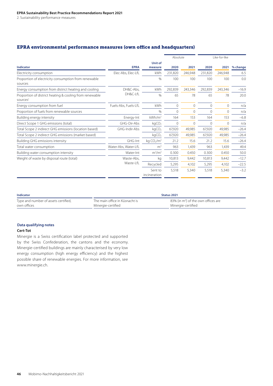# <span id="page-5-0"></span>EPRA environmental performance measures (own office and headquarters)

|                                                                                 |                      |                           | Absolute     |         |             | Like-for-like |          |
|---------------------------------------------------------------------------------|----------------------|---------------------------|--------------|---------|-------------|---------------|----------|
| <b>Indicator</b>                                                                | <b>EPRA</b>          | <b>Unit of</b><br>measure | 2020         | 2021    | 2020        | 2021          | % change |
| Electricity consumption                                                         | Elec-Abs, Elec-LfL   | kWh                       | 231,820      | 246,948 | 231,820     | 246,948       | 6.5      |
| Proportion of electricity consumption from renewable<br>sources                 |                      | $\%$                      | 100          | 100     | 100         | 100           | 0.0      |
| Energy consumption from district heating and cooling                            | DH&C-Abs.            | kWh                       | 292,839      | 243.346 | 292,839     | 243.346       | $-16.9$  |
| Proportion of district heating & cooling from renewable<br>sources <sup>1</sup> | DH&C-LfL             | $\%$                      | 65           | 78      | 65          | 78            | 20.0     |
| Energy consumption from fuel                                                    | Fuels-Abs, Fuels-LfL | kWh                       | 0            | 0       | $\mathbf 0$ | $\circ$       | n/a      |
| Proportion of fuels from renewable sources                                      |                      | %                         | $\mathbf{0}$ | 0       | $\mathbf 0$ | $\Omega$      | n/a      |
| Building energy intensity                                                       | Energy-Int           | kWh/m <sup>2</sup>        | 164          | 153     | 164         | 153           | $-6.8$   |
| Direct Scope 1 GHG emissions (total)                                            | GHG-Dir-Abs          | kgCO <sub>2</sub>         | 0            | 0       | 0           | $\Omega$      | n/a      |
| Total Scope 2 indirect GHG emissions (location based)                           | GHG-Indir-Abs        | kqCO <sub>2</sub>         | 67,920       | 49,985  | 67,920      | 49,985        | $-26.4$  |
| Total Scope 2 indirect GHG emissions (market based)                             |                      | kqCO <sub>2</sub>         | 67,920       | 49,985  | 67,920      | 49,985        | $-26.4$  |
| Building GHG emissions intensity                                                | GHG-Int              | kg $CO2/m2$               | 21.2         | 15.6    | 21.2        | 15.6          | $-26.4$  |
| Total water consumption                                                         | Water-Abs, Water-LfL | m <sup>3</sup>            | 963          | 1.439   | 963         | 1.439         | 49.4     |
| Building water consumption intensity                                            | Water-Int            | $m^3/m^2$                 | 0.300        | 0.450   | 0.300       | 0.450         | 50.0     |
| Weight of waste by disposal route (total)                                       | Waste-Abs.           | kg                        | 10.813       | 9,442   | 10.813      | 9.442         | $-12.7$  |
|                                                                                 | Waste-LfL            | Recycled                  | 5,295        | 4,102   | 5,295       | 4,102         | $-22.5$  |
|                                                                                 |                      | Sent to<br>incineration   | 5,518        | 5,340   | 5,518       | 5,340         | $-3.2$   |

| Indicator                            |                                | Status 2021                                     |
|--------------------------------------|--------------------------------|-------------------------------------------------|
| Type and number of assets certified, | The main office in Küsnacht is | 83% (in m <sup>2</sup> ) of the own offices are |
| own offices                          | Minergie-certified             | Minergie-certified                              |

# **Data qualifying notes**

# **Cert-Tot**

Minergie is a Swiss certification label protected and supported by the Swiss Confederation, the cantons and the economy. Minergie-certified buildings are mainly characterised by very low energy consumption (high energy efficiency) and the highest possible share of renewable energies. For more information, see www.minergie.ch.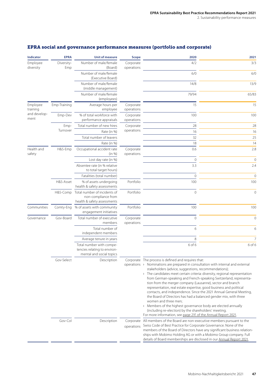| Indicator                                                               | <b>EPRA</b>           | <b>Unit of measure</b>                                                               | <b>Scope</b>            | 2020                                                                                                                                                                                                                                                                                                                                                                                                                                                                                                                                                                                                                                                                                                                                                                                                                                                                                                                                                                                                                                                                                               | 2021           |  |  |  |
|-------------------------------------------------------------------------|-----------------------|--------------------------------------------------------------------------------------|-------------------------|----------------------------------------------------------------------------------------------------------------------------------------------------------------------------------------------------------------------------------------------------------------------------------------------------------------------------------------------------------------------------------------------------------------------------------------------------------------------------------------------------------------------------------------------------------------------------------------------------------------------------------------------------------------------------------------------------------------------------------------------------------------------------------------------------------------------------------------------------------------------------------------------------------------------------------------------------------------------------------------------------------------------------------------------------------------------------------------------------|----------------|--|--|--|
| Employee<br>Diversity-<br>diversity<br>Emp                              |                       | Number of male/female<br>(Board)                                                     | Corporate<br>operations | 4/2                                                                                                                                                                                                                                                                                                                                                                                                                                                                                                                                                                                                                                                                                                                                                                                                                                                                                                                                                                                                                                                                                                | 3/3            |  |  |  |
|                                                                         |                       | Number of male/female<br>(Executive Board)                                           |                         | 6/0<br>6/0                                                                                                                                                                                                                                                                                                                                                                                                                                                                                                                                                                                                                                                                                                                                                                                                                                                                                                                                                                                                                                                                                         |                |  |  |  |
|                                                                         |                       | Number of male/female<br>(middle management)                                         |                         | 14/8                                                                                                                                                                                                                                                                                                                                                                                                                                                                                                                                                                                                                                                                                                                                                                                                                                                                                                                                                                                                                                                                                               | 13/9           |  |  |  |
|                                                                         |                       | Number of male/female<br>(employees)                                                 |                         | 79/94                                                                                                                                                                                                                                                                                                                                                                                                                                                                                                                                                                                                                                                                                                                                                                                                                                                                                                                                                                                                                                                                                              | 65/83          |  |  |  |
| Employee<br>Emp-Training<br>training<br>and develop-<br>Emp-Dev<br>ment |                       | Average hours per<br>employee                                                        | Corporate<br>operations | 15                                                                                                                                                                                                                                                                                                                                                                                                                                                                                                                                                                                                                                                                                                                                                                                                                                                                                                                                                                                                                                                                                                 | 15             |  |  |  |
|                                                                         |                       | % of total workforce with<br>performance appraisals                                  | Corporate<br>operations | 100                                                                                                                                                                                                                                                                                                                                                                                                                                                                                                                                                                                                                                                                                                                                                                                                                                                                                                                                                                                                                                                                                                | 100            |  |  |  |
|                                                                         | Emp-                  | Total number of new hires                                                            | Corporate               | 28                                                                                                                                                                                                                                                                                                                                                                                                                                                                                                                                                                                                                                                                                                                                                                                                                                                                                                                                                                                                                                                                                                 | 28             |  |  |  |
|                                                                         | Turnover              | Rate (in %)                                                                          | operations              | 16                                                                                                                                                                                                                                                                                                                                                                                                                                                                                                                                                                                                                                                                                                                                                                                                                                                                                                                                                                                                                                                                                                 | 16             |  |  |  |
|                                                                         |                       | Total number of leavers                                                              |                         | 32                                                                                                                                                                                                                                                                                                                                                                                                                                                                                                                                                                                                                                                                                                                                                                                                                                                                                                                                                                                                                                                                                                 | 25             |  |  |  |
|                                                                         |                       | Rate (in %)                                                                          |                         | 18                                                                                                                                                                                                                                                                                                                                                                                                                                                                                                                                                                                                                                                                                                                                                                                                                                                                                                                                                                                                                                                                                                 | 14             |  |  |  |
| Health and<br>safety                                                    | H&S-Emp               | Occupational accident rate<br>(in %)                                                 | Corporate<br>operations | 0.6                                                                                                                                                                                                                                                                                                                                                                                                                                                                                                                                                                                                                                                                                                                                                                                                                                                                                                                                                                                                                                                                                                | 2.8            |  |  |  |
|                                                                         |                       | Lost day rate (in %)                                                                 |                         | $\mathbf 0$                                                                                                                                                                                                                                                                                                                                                                                                                                                                                                                                                                                                                                                                                                                                                                                                                                                                                                                                                                                                                                                                                        | $\mathbf 0$    |  |  |  |
|                                                                         |                       | Absentee rate (in % relative<br>to total target hours)                               |                         | 3.3                                                                                                                                                                                                                                                                                                                                                                                                                                                                                                                                                                                                                                                                                                                                                                                                                                                                                                                                                                                                                                                                                                | 2.4            |  |  |  |
|                                                                         |                       | Fatalities (total number)                                                            |                         | $\overline{0}$                                                                                                                                                                                                                                                                                                                                                                                                                                                                                                                                                                                                                                                                                                                                                                                                                                                                                                                                                                                                                                                                                     | $\mathbf 0$    |  |  |  |
|                                                                         | H&S-Asset             | % of assets undergoing<br>health & safety assessments                                | Portfolio               | 100                                                                                                                                                                                                                                                                                                                                                                                                                                                                                                                                                                                                                                                                                                                                                                                                                                                                                                                                                                                                                                                                                                | 100            |  |  |  |
|                                                                         | H&S-Comp              | Total number of incidents of<br>non-compliance from<br>health & safety assessments   | Portfolio               | $\overline{0}$                                                                                                                                                                                                                                                                                                                                                                                                                                                                                                                                                                                                                                                                                                                                                                                                                                                                                                                                                                                                                                                                                     | $\mathbf{0}$   |  |  |  |
| Communities                                                             | Comty-Eng             | % of assets with community<br>engagement initiatives                                 | Portfolio               | 100                                                                                                                                                                                                                                                                                                                                                                                                                                                                                                                                                                                                                                                                                                                                                                                                                                                                                                                                                                                                                                                                                                | 100            |  |  |  |
| Governance                                                              | Gov-Board             | Total number of executive<br>members                                                 | Corporate<br>operations | $\mathbf 0$                                                                                                                                                                                                                                                                                                                                                                                                                                                                                                                                                                                                                                                                                                                                                                                                                                                                                                                                                                                                                                                                                        | $\mathbf 0$    |  |  |  |
|                                                                         |                       | Total number of<br>independent members                                               |                         | $\epsilon$                                                                                                                                                                                                                                                                                                                                                                                                                                                                                                                                                                                                                                                                                                                                                                                                                                                                                                                                                                                                                                                                                         | 6              |  |  |  |
|                                                                         |                       | Average tenure in years                                                              |                         | 8                                                                                                                                                                                                                                                                                                                                                                                                                                                                                                                                                                                                                                                                                                                                                                                                                                                                                                                                                                                                                                                                                                  | $\overline{7}$ |  |  |  |
|                                                                         |                       | Total number with compe-<br>tencies relating to environ-<br>mental and social topics |                         | 6 of 6                                                                                                                                                                                                                                                                                                                                                                                                                                                                                                                                                                                                                                                                                                                                                                                                                                                                                                                                                                                                                                                                                             | 6 of 6         |  |  |  |
|                                                                         | Gov-Select<br>Gov-Col | Description<br>Description                                                           | operations              | Corporate The process is defined and requires that:<br>operations $\rightarrow$ Nominations are prepared in consultation with internal and external<br>stakeholders (advice, suggestions, recommendations);<br>> The candidates meet certain criteria: diversity, regional representation<br>from German-speaking and French-speaking Switzerland, representa-<br>tion from the merger company (Lausanne), sector and branch<br>representation, real estate expertise, good business and political<br>contacts, and independence. Since the 2021 Annual General Meeting,<br>the Board of Directors has had a balanced gender mix, with three<br>women and three men;<br>> Members of the highest governance body are elected annually<br>(including re-election) by the shareholders' meeting.<br>For more information, see page 21f. of the Annual Report 2021.<br>Corporate All members of the Board are non-executive members pursuant to the<br>Swiss Code of Best Practice for Corporate Governance. None of the<br>members of the Board of Directors have any significant business relation- |                |  |  |  |
|                                                                         |                       |                                                                                      |                         | ships with Mobimo Holding AG or with a Mobimo Group company. Full<br>details of Board memberships are disclosed in our Annual Report 2021.                                                                                                                                                                                                                                                                                                                                                                                                                                                                                                                                                                                                                                                                                                                                                                                                                                                                                                                                                         |                |  |  |  |

# EPRA social and governance performance measures (portfolio and corporate)